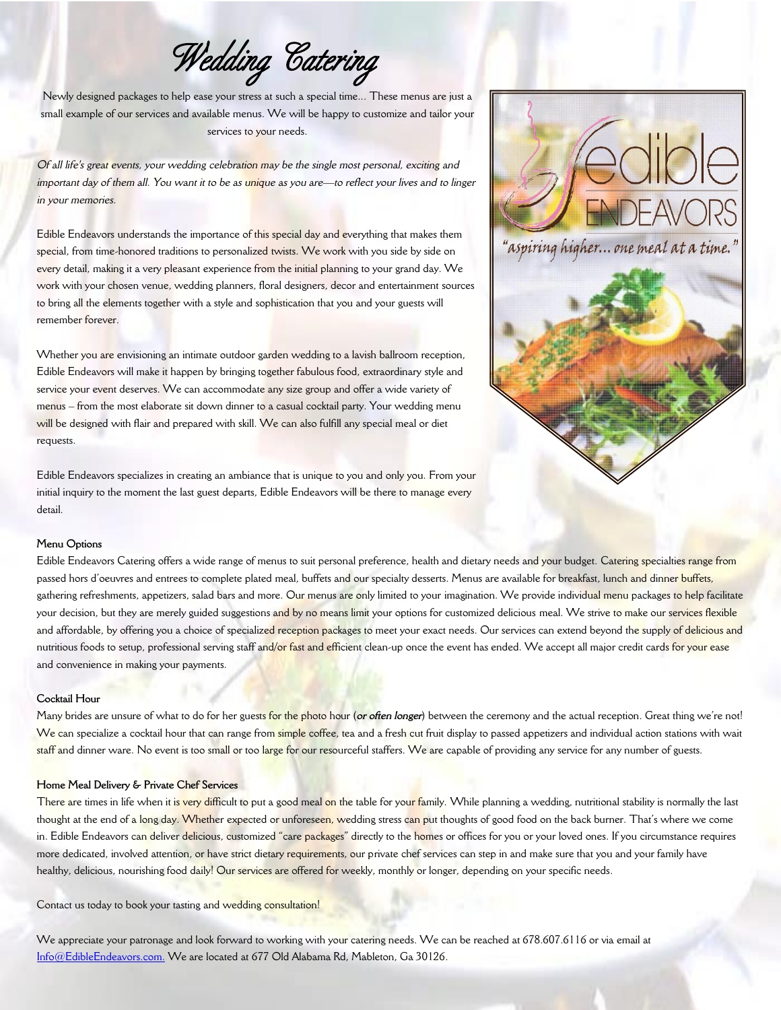*Wedding Catering* 

Newly designed packages to help ease your stress at such a special time... These menus are just a small example of our services and available menus. We will be happy to customize and tailor your services to your needs.

*Of all life's great events, your wedding celebration may be the single most personal, exciting and* important day of them all. You want it to be as *unique* as you are-to reflect your lives and to linger *in your memories.*

Edible Endeavors understands the importance of this special day and everything that makes them special, from time-honored traditions to personalized twists. We work with you side by side on every detail, making it a very pleasant experience from the initial planning to your grand day. We work with your chosen venue, wedding planners, floral designers, decor and entertainment sources to bring all the elements together with a style and sophistication that you and your guests will remember forever.

Whether you are envisioning an intimate outdoor garden wedding to a lavish ballroom reception, Edible Endeavors will make it happen by bringing together fabulous food, extraordinary style and service your event deserves. We can accommodate any size group and offer a wide variety of menus – from the most elaborate sit down dinner to a casual cocktail party. Your wedding menu will be designed with flair and prepared with skill. We can also fulfill any special meal or diet requests.

Edible Endeavors specializes in creating an ambiance that is unique to you and only you. From your initial inquiry to the moment the last guest departs, Edible Endeavors will be there to manage every detail.



#### **Menu Options**

Edible Endeavors Catering offers a wide range of menus to suit personal preference, health and dietary needs and your budget. Catering specialties range from passed hors d'oeuvres and entrees to complete plated meal, buffets and our specialty desserts. Menus are available for breakfast, lunch and dinner buffets, gathering refreshments, appetizers, salad bars and more. Our menus are only limited to your imagination. We provide individual menu packages to help facilitate your decision, but they are merely guided suggestions and by no means limit your options for customized delicious meal. We strive to make our services flexible and affordable, by offering you a choice of specialized reception packages to meet your exact needs. Our services can extend beyond the supply of delicious and nutritious foods to setup, professional serving staff and/or fast and efficient clean-up once the event has ended. We accept all major credit cards for your ease and convenience in making your payments.

# **Cocktail Hour**

Many brides are unsure of what to do for her guests for the photo hour (*or often longer*) between the ceremony and the actual reception. Great thing we're not! We can specialize a cocktail hour that can range from simple coffee, tea and a fresh cut fruit display to passed appetizers and individual action stations with wait staff and dinner ware. No event is too small or too large for our resourceful staffers. We are capable of providing any service for any number of guests.

## **Home Meal Delivery & Private Chef Services**

There are times in life when it is very difficult to put a good meal on the table for your family. While planning a wedding, nutritional stability is normally the last thought at the end of a long day. Whether expected or unforeseen, wedding stress can put thoughts of good food on the back burner. That's where we come in. Edible Endeavors can deliver delicious, customized "care packages" directly to the homes or offices for you or your loved ones. If you circumstance requires more dedicated, involved attention, or have strict dietary requirements, our private chef services can step in and make sure that you and your family have healthy, delicious, nourishing food daily! Our services are offered for weekly, monthly or longer, depending on your specific needs.

Contact us today to book your tasting and wedding consultation!

We appreciate your patronage and look forward to working with your catering needs. We can be reached at 678.607.6116 or via email at [Info@EdibleEndeavors.com.](mailto:Info@EdibleEndeavors.com) We are located at 677 Old Alabama Rd, Mableton, Ga 30126.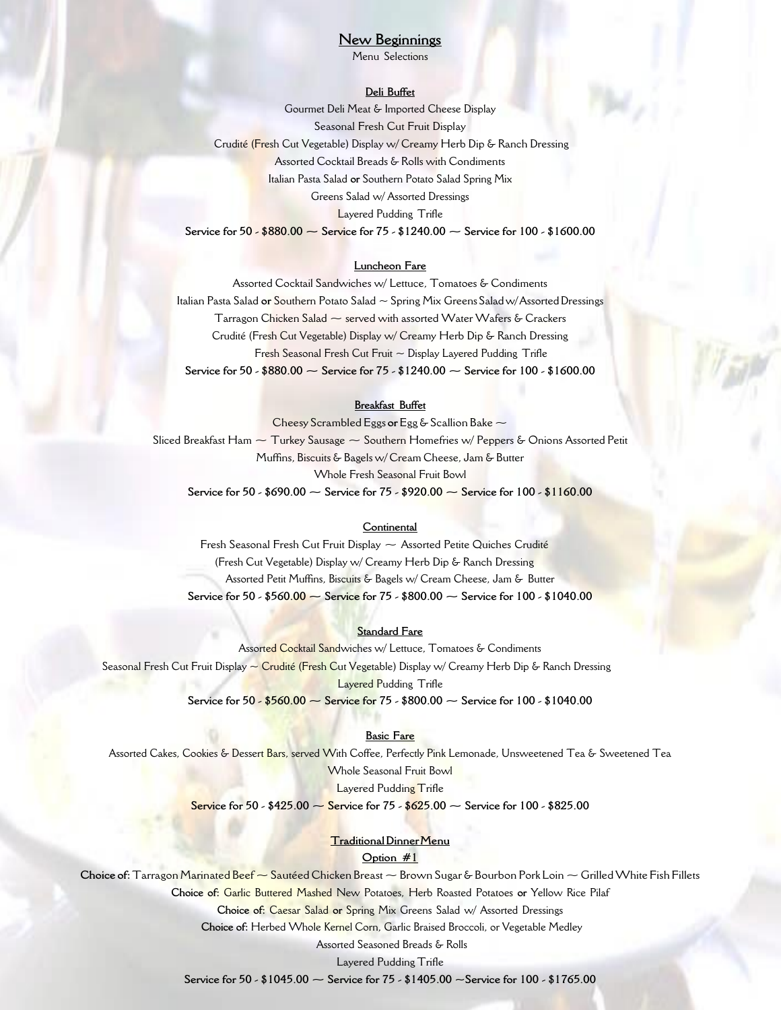# **New Beginnings**

Menu Selections

# **Deli Buffet**

Gourmet Deli Meat & Imported Cheese Display Seasonal Fresh Cut Fruit Display Crudité (Fresh Cut Vegetable) Display w/ Creamy Herb Dip & Ranch Dressing Assorted Cocktail Breads & Rolls with Condiments Italian Pasta Salad **or** Southern Potato Salad Spring Mix Greens Salad w/ Assorted Dressings Layered Pudding Trifle **Service for 50 - \$880.00 ~ Service for 75 - \$1240.00 ~ Service for 100 - \$1600.00**

# **Luncheon Fare**

Assorted Cocktail Sandwiches w/ Lettuce, Tomatoes & Condiments Italian Pasta Salad **or** Southern Potato Salad ~ Spring Mix Greens Saladw/AssortedDressings Tarragon Chicken Salad  $\sim$  served with assorted Water Wafers & Crackers Crudité (Fresh Cut Vegetable) Display w/ Creamy Herb Dip & Ranch Dressing Fresh Seasonal Fresh Cut Fruit ~ Display Layered Pudding Trifle **Service for 50 - \$880.00 ~ Service for 75 - \$1240.00 ~ Service for 100 - \$1600.00**

## **Breakfast Buffet**

Cheesy Scrambled Eggs **or** Egg & Scallion Bake ~ Sliced Breakfast Ham  $\sim$  Turkey Sausage  $\sim$  Southern Homefries w/ Peppers & Onions Assorted Petit Muffins, Biscuits & Bagels w/ Cream Cheese, Jam & Butter Whole Fresh Seasonal Fruit Bowl **Service for 50 - \$690.00 ~ Service for 75 - \$920.00 ~ Service for 100 - \$1160.00**

#### **Continental**

Fresh Seasonal Fresh Cut Fruit Display  $\sim$  Assorted Petite Quiches Crudité (Fresh Cut Vegetable) Display w/ Creamy Herb Dip & Ranch Dressing Assorted Petit Muffins, Biscuits & Bagels w/ Cream Cheese, Jam & Butter **Service for 50 - \$560.00 ~ Service for 75 - \$800.00 ~ Service for 100 - \$1040.00**

#### **Standard Fare**

Assorted Cocktail Sandwiches w/ Lettuce, Tomatoes & Condiments Seasonal Fresh Cut Fruit Display ~ Crudité (Fresh Cut Vegetable) Display w/ Creamy Herb Dip & Ranch Dressing Layered Pudding Trifle **Service for 50 - \$560.00 ~ Service for 75 - \$800.00 ~ Service for 100 - \$1040.00**

#### **Basic Fare**

Assorted Cakes, Cookies & Dessert Bars, served With Coffee, Perfectly Pink Lemonade, Unsweetened Tea & Sweetened Tea Whole Seasonal Fruit Bowl Layered Pudding Trifle

**Service for 50 - \$425.00 ~ Service for 75 - \$625.00 ~ Service for 100 - \$825.00**

# **TraditionalDinnerMenu**

**Option #1**

**Choice of:**Tarragon Marinated Beef ~Sautéed Chicken Breast ~Brown Sugar & Bourbon Pork Loin ~GrilledWhite Fish Fillets **Choice of:** Garlic Buttered Mashed New Potatoes, Herb Roasted Potatoes **or** Yellow Rice Pilaf **Choice of:** Caesar Salad **or** Spring Mix Greens Salad w/ Assorted Dressings **Choice of:** Herbed Whole Kernel Corn, Garlic Braised Broccoli, or Vegetable Medley Assorted Seasoned Breads & Rolls

Layered Pudding Trifle

**Service for 50 - \$1045.00 ~ Service for 75 - \$1405.00 ~Service for 100 - \$1765.00**